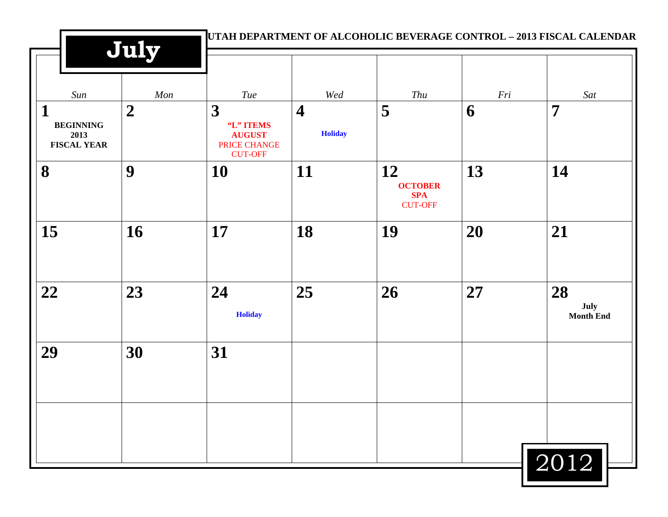|                                                     | July             |                                                                   |                                           | UTAH DEPARTMENT OF ALCOHOLIC BEVERAGE CONTROL - 2013 FISCAL CALENDAR |     |                                |
|-----------------------------------------------------|------------------|-------------------------------------------------------------------|-------------------------------------------|----------------------------------------------------------------------|-----|--------------------------------|
| Sun                                                 | Mon              | Tue                                                               | Wed                                       | Thu                                                                  | Fri | Sat                            |
| 1<br><b>BEGINNING</b><br>2013<br><b>FISCAL YEAR</b> | $\boldsymbol{2}$ | 3<br>"L" ITEMS<br><b>AUGUST</b><br>PRICE CHANGE<br><b>CUT-OFF</b> | $\overline{\mathbf{4}}$<br><b>Holiday</b> | 5                                                                    | 6   | $\overline{7}$                 |
| 8                                                   | 9                | 10                                                                | 11                                        | 12<br><b>OCTOBER</b><br><b>SPA</b><br><b>CUT-OFF</b>                 | 13  | 14                             |
| 15                                                  | 16               | 17                                                                | 18                                        | 19                                                                   | 20  | 21                             |
| 22                                                  | 23               | 24<br><b>Holiday</b>                                              | 25                                        | 26                                                                   | 27  | 28<br>July<br><b>Month End</b> |
| 29                                                  | 30               | 31                                                                |                                           |                                                                      |     |                                |
|                                                     |                  |                                                                   |                                           |                                                                      |     |                                |
|                                                     |                  |                                                                   |                                           |                                                                      |     | 2012                           |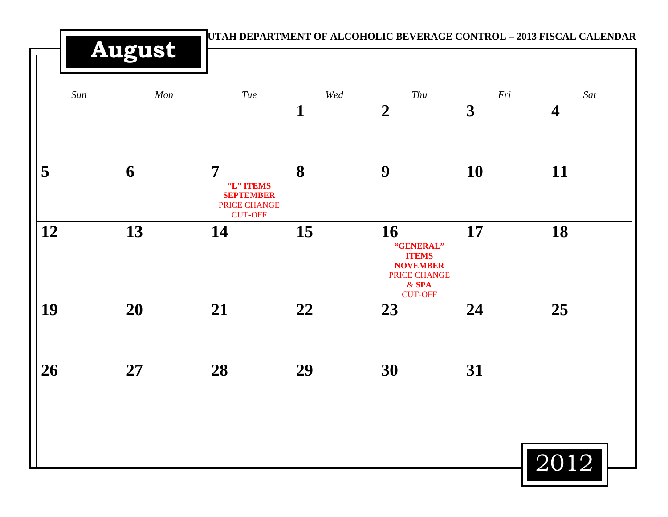|     | <b>August</b> |                                                                                   |          |                                                                                                 |          |                                |
|-----|---------------|-----------------------------------------------------------------------------------|----------|-------------------------------------------------------------------------------------------------|----------|--------------------------------|
| Sun | Mon           | <b>Tue</b>                                                                        | Wed<br>1 | Thu<br>$\boldsymbol{2}$                                                                         | Fri<br>3 | Sat<br>$\overline{\mathbf{4}}$ |
| 5   | 6             | $\overline{7}$<br>"L" ITEMS<br><b>SEPTEMBER</b><br>PRICE CHANGE<br><b>CUT-OFF</b> | 8        | 9                                                                                               | 10       | 11                             |
| 12  | 13            | 14                                                                                | 15       | 16<br>"GENERAL"<br><b>ITEMS</b><br><b>NOVEMBER</b><br>PRICE CHANGE<br>$&$ SPA<br><b>CUT-OFF</b> | 17       | 18                             |
| 19  | 20            | 21                                                                                | 22       | 23                                                                                              | 24       | 25                             |
| 26  | 27            | 28                                                                                | 29       | 30                                                                                              | 31       |                                |
|     |               |                                                                                   |          |                                                                                                 |          | 2012                           |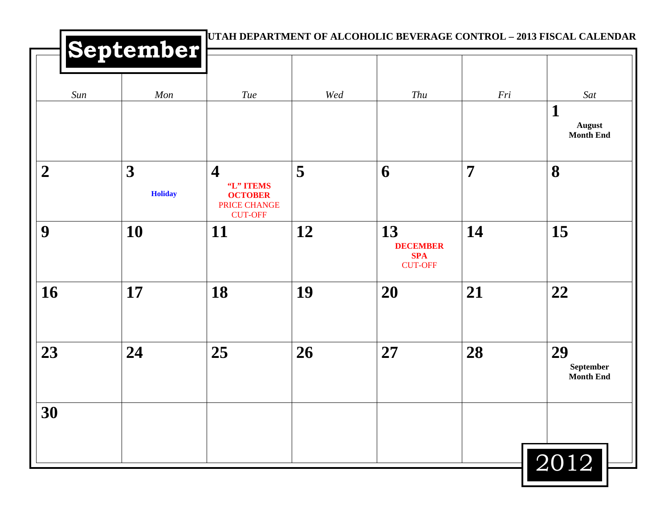|                  | September           |                                                                                          |     | UTAH DEPARTMENT OF ALCOHOLIC BEVERAGE CONTROL - 2013 FISCAL CALENDAR |     |                                     |
|------------------|---------------------|------------------------------------------------------------------------------------------|-----|----------------------------------------------------------------------|-----|-------------------------------------|
| Sun              | Mon                 | Tue                                                                                      | Wed | Thu                                                                  | Fri | Sat<br>$\mathbf 1$                  |
|                  |                     |                                                                                          |     |                                                                      |     | <b>August</b><br><b>Month End</b>   |
| $\boldsymbol{2}$ | 3<br><b>Holiday</b> | $\overline{\mathbf{4}}$<br>"L" ITEMS<br><b>OCTOBER</b><br>PRICE CHANGE<br><b>CUT-OFF</b> | 5   | 6                                                                    | 7   | 8                                   |
| 9                | 10                  | 11                                                                                       | 12  | 13<br><b>DECEMBER</b><br><b>SPA</b><br><b>CUT-OFF</b>                | 14  | 15                                  |
| 16               | 17                  | 18                                                                                       | 19  | <b>20</b>                                                            | 21  | 22                                  |
| 23               | 24                  | 25                                                                                       | 26  | 27                                                                   | 28  | 29<br>September<br><b>Month End</b> |
| 30               |                     |                                                                                          |     |                                                                      |     |                                     |
|                  |                     |                                                                                          |     |                                                                      |     | 2012                                |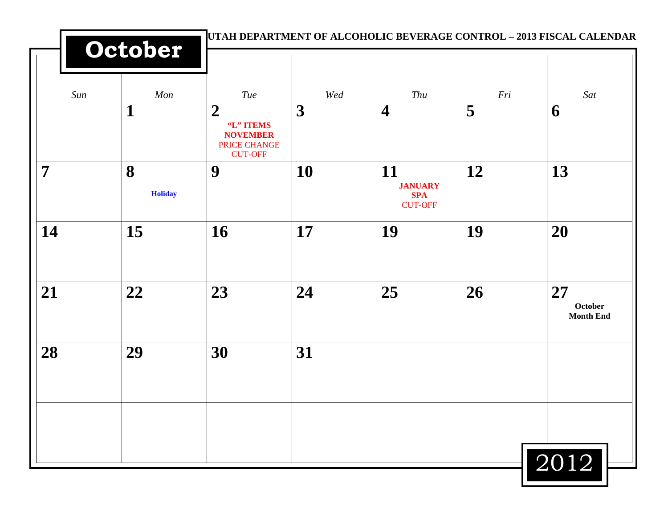|                | October             |                                                                                    |     | UTAH DEPARTMENT OF ALCOHOLIC BEVERAGE CONTROL - 2013 FISCAL CALENDAR |     |                                          |
|----------------|---------------------|------------------------------------------------------------------------------------|-----|----------------------------------------------------------------------|-----|------------------------------------------|
| Sun            | Mon                 | Tue                                                                                | Wed | Thu                                                                  | Fri | Sat                                      |
|                | 1                   | $\boldsymbol{2}$<br>"L" ITEMS<br><b>NOVEMBER</b><br>PRICE CHANGE<br><b>CUT-OFF</b> | 3   | $\overline{\mathbf{4}}$                                              | 5   | 6                                        |
| $\overline{7}$ | 8<br><b>Holiday</b> | 9                                                                                  | 10  | 11<br><b>JANUARY</b><br><b>SPA</b><br><b>CUT-OFF</b>                 | 12  | 13                                       |
| 14             | 15                  | 16                                                                                 | 17  | 19                                                                   | 19  | 20                                       |
| 21             | 22                  | 23                                                                                 | 24  | 25                                                                   | 26  | 27<br><b>October</b><br><b>Month End</b> |
| 28             | 29                  | 30                                                                                 | 31  |                                                                      |     |                                          |
|                |                     |                                                                                    |     |                                                                      |     |                                          |
|                |                     |                                                                                    |     |                                                                      |     | 2012                                     |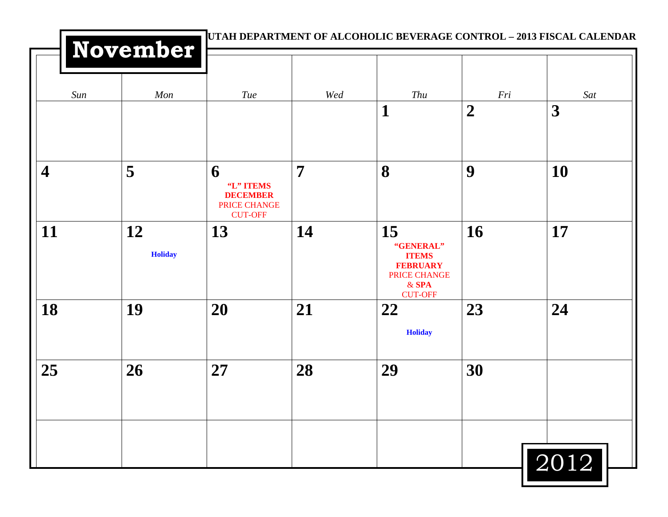|                         | November             |                                                                     |                | UTAH DEPARTMENT OF ALCOHOLIC BEVERAGE CONTROL - 2013 FISCAL CALENDAR                            |                  |      |
|-------------------------|----------------------|---------------------------------------------------------------------|----------------|-------------------------------------------------------------------------------------------------|------------------|------|
| Sun                     | Mon                  | <b>Tue</b>                                                          | Wed            | Thu                                                                                             | Fri              | Sat  |
|                         |                      |                                                                     |                | 1                                                                                               | $\boldsymbol{2}$ | 3    |
| $\overline{\mathbf{4}}$ | 5                    | 6<br>"L" ITEMS<br><b>DECEMBER</b><br>PRICE CHANGE<br><b>CUT-OFF</b> | $\overline{7}$ | 8                                                                                               | 9                | 10   |
| 11                      | 12<br><b>Holiday</b> | 13                                                                  | 14             | 15<br>"GENERAL"<br><b>ITEMS</b><br><b>FEBRUARY</b><br>PRICE CHANGE<br>$&$ SPA<br><b>CUT-OFF</b> | <b>16</b>        | 17   |
| 18                      | 19                   | 20                                                                  | 21             | 22<br><b>Holiday</b>                                                                            | 23               | 24   |
| 25                      | 26                   | 27                                                                  | 28             | 29                                                                                              | 30               |      |
|                         |                      |                                                                     |                |                                                                                                 |                  | 2012 |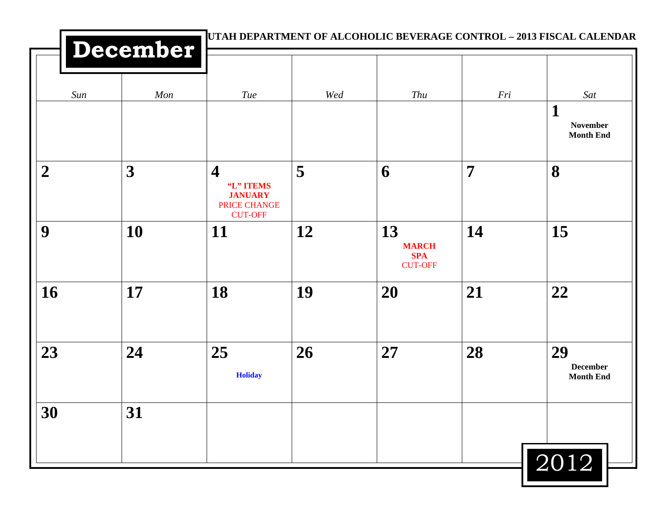|                | December                | UTAH DEPARTMENT OF ALCOHOLIC BEVERAGE CONTROL - 2013 FISCAL CALENDAR                     |     |                                                    |                |                                                           |
|----------------|-------------------------|------------------------------------------------------------------------------------------|-----|----------------------------------------------------|----------------|-----------------------------------------------------------|
| Sun            | Mon                     | Tue                                                                                      | Wed | Thu                                                | Fri            | Sat<br>$\mathbf 1$<br><b>November</b><br><b>Month End</b> |
| $\overline{2}$ | $\overline{\mathbf{3}}$ | $\overline{\mathbf{4}}$<br>"L" ITEMS<br><b>JANUARY</b><br>PRICE CHANGE<br><b>CUT-OFF</b> | 5   | 6                                                  | $\overline{7}$ | 8                                                         |
| 9              | 10                      | <b>11</b>                                                                                | 12  | 13<br><b>MARCH</b><br><b>SPA</b><br><b>CUT-OFF</b> | 14             | 15                                                        |
| 16             | 17                      | 18                                                                                       | 19  | 20                                                 | 21             | 22                                                        |
| 23             | 24                      | 25<br><b>Holiday</b>                                                                     | 26  | 27                                                 | 28             | 29<br><b>December</b><br><b>Month End</b>                 |
| 30             | 31                      |                                                                                          |     |                                                    |                | 2012                                                      |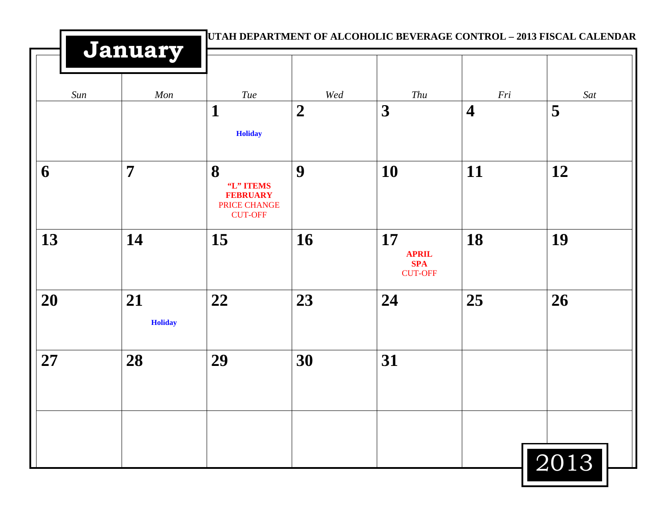|     | January              |                                                                     |                  | UTAH DEPARTMENT OF ALCOHOLIC BEVERAGE CONTROL - 2013 FISCAL CALENDAR |                         |      |
|-----|----------------------|---------------------------------------------------------------------|------------------|----------------------------------------------------------------------|-------------------------|------|
| Sun | Mon                  | <b>Tue</b>                                                          | Wed              | Thu                                                                  | Fri                     | Sat  |
|     |                      | $\mathbf{1}$<br><b>Holiday</b>                                      | $\boldsymbol{2}$ | 3                                                                    | $\overline{\mathbf{4}}$ | 5    |
| 6   | $\overline{7}$       | 8<br>"L" ITEMS<br><b>FEBRUARY</b><br>PRICE CHANGE<br><b>CUT-OFF</b> | 9                | 10                                                                   | 11                      | 12   |
| 13  | 14                   | 15                                                                  | 16               | 17<br><b>APRIL</b><br><b>SPA</b><br><b>CUT-OFF</b>                   | 18                      | 19   |
| 20  | 21<br><b>Holiday</b> | 22                                                                  | 23               | 24                                                                   | 25                      | 26   |
| 27  | 28                   | 29                                                                  | 30               | 31                                                                   |                         |      |
|     |                      |                                                                     |                  |                                                                      |                         |      |
|     |                      |                                                                     |                  |                                                                      |                         | 2013 |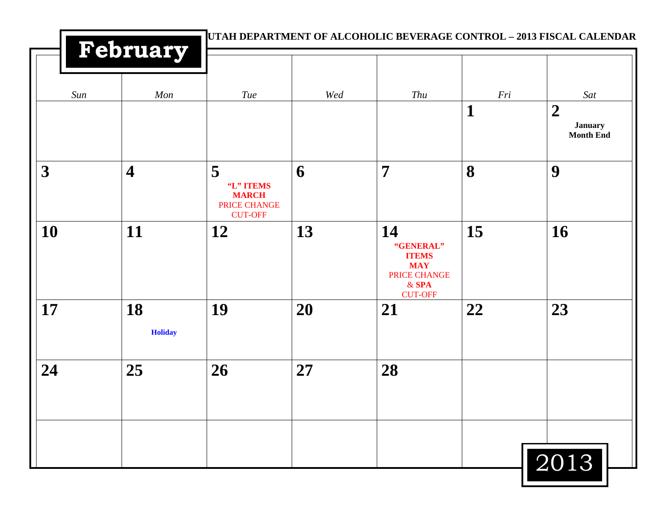|                         | February                |                                                                  |     |                                                                          |                    | UTAH DEPARTMENT OF ALCOHOLIC BEVERAGE CONTROL - 2013 FISCAL CALENDAR |
|-------------------------|-------------------------|------------------------------------------------------------------|-----|--------------------------------------------------------------------------|--------------------|----------------------------------------------------------------------|
| Sun                     | Mon                     | Tue                                                              | Wed | Thu                                                                      | Fri<br>$\mathbf 1$ | Sat<br>$\boldsymbol{2}$<br><b>January</b><br><b>Month End</b>        |
| $\overline{\mathbf{3}}$ | $\overline{\mathbf{4}}$ | 5<br>"L" ITEMS<br><b>MARCH</b><br>PRICE CHANGE<br><b>CUT-OFF</b> | 6   | $\overline{7}$                                                           | 8                  | 9                                                                    |
| 10                      | 11                      | 12                                                               | 13  | 14<br>"GENERAL"<br><b>ITEMS</b><br><b>MAY</b><br>PRICE CHANGE<br>$&$ SPA | 15                 | 16                                                                   |
| 17                      | 18<br><b>Holiday</b>    | 19                                                               | 20  | <b>CUT-OFF</b><br>21                                                     | 22                 | 23                                                                   |
| 24                      | 25                      | 26                                                               | 27  | 28                                                                       |                    |                                                                      |
|                         |                         |                                                                  |     |                                                                          |                    | 2013                                                                 |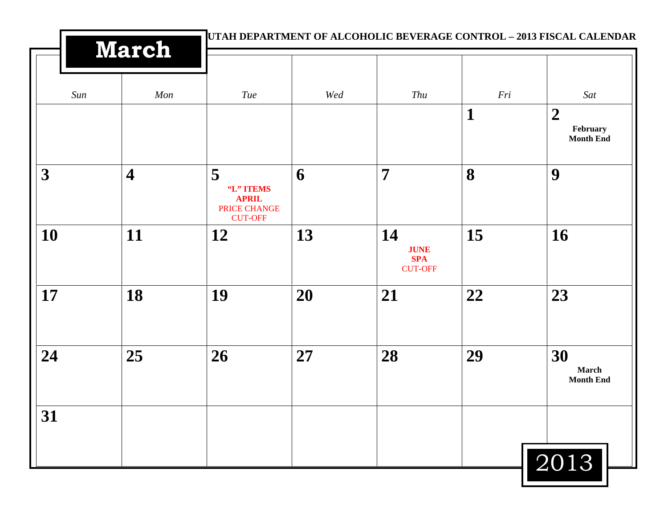|     | <b>March</b>            | UTAH DEPARTMENT OF ALCOHOLIC BEVERAGE CONTROL - 2013 FISCAL CALENDAR |     |                                                   |             |                                                  |
|-----|-------------------------|----------------------------------------------------------------------|-----|---------------------------------------------------|-------------|--------------------------------------------------|
| Sun | Mon                     | Tue                                                                  | Wed | Thu                                               | Fri         | Sat                                              |
|     |                         |                                                                      |     |                                                   | $\mathbf 1$ | $\boldsymbol{2}$<br>February<br><b>Month End</b> |
| 3   | $\overline{\mathbf{4}}$ | 5<br>"L" ITEMS<br><b>APRIL</b><br>PRICE CHANGE<br><b>CUT-OFF</b>     | 6   | $\overline{7}$                                    | 8           | 9                                                |
| 10  | 11                      | 12                                                                   | 13  | 14<br><b>JUNE</b><br><b>SPA</b><br><b>CUT-OFF</b> | 15          | 16                                               |
| 17  | 18                      | 19                                                                   | 20  | 21                                                | 22          | 23                                               |
| 24  | 25                      | 26                                                                   | 27  | 28                                                | 29          | 30<br>March<br><b>Month End</b>                  |
| 31  |                         |                                                                      |     |                                                   |             |                                                  |
|     |                         |                                                                      |     |                                                   |             | 2013                                             |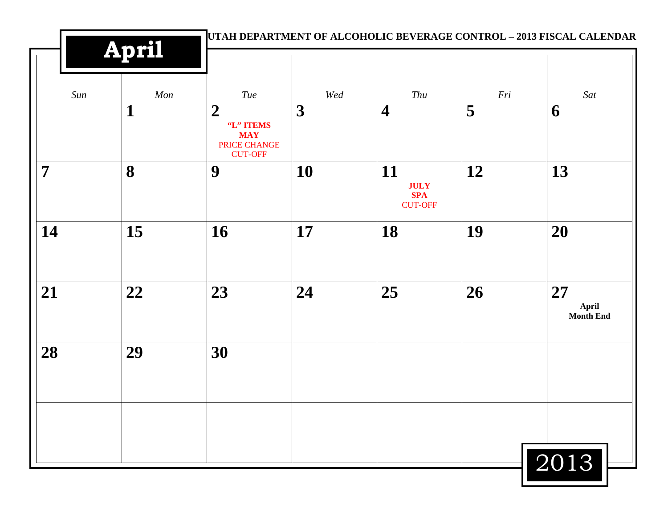|     | April       |                                                                               |                         |                                                   |     | UTAH DEPARTMENT OF ALCOHOLIC BEVERAGE CONTROL - 2013 FISCAL CALENDAR |
|-----|-------------|-------------------------------------------------------------------------------|-------------------------|---------------------------------------------------|-----|----------------------------------------------------------------------|
| Sun | Mon         | Tue                                                                           | Wed                     | Thu                                               | Fri | Sat                                                                  |
|     | $\mathbf 1$ | $\boldsymbol{2}$<br>"L" ITEMS<br><b>MAY</b><br>PRICE CHANGE<br><b>CUT-OFF</b> | $\overline{\mathbf{3}}$ | $\overline{\mathbf{4}}$                           | 5   | 6                                                                    |
| 7   | 8           | 9                                                                             | 10                      | 11<br><b>JULY</b><br><b>SPA</b><br><b>CUT-OFF</b> | 12  | 13                                                                   |
| 14  | 15          | 16                                                                            | 17                      | 18                                                | 19  | 20                                                                   |
| 21  | 22          | 23                                                                            | 24                      | 25                                                | 26  | 27<br>April<br><b>Month End</b>                                      |
| 28  | 29          | 30                                                                            |                         |                                                   |     |                                                                      |
|     |             |                                                                               |                         |                                                   |     |                                                                      |
|     |             |                                                                               |                         |                                                   |     | 2013                                                                 |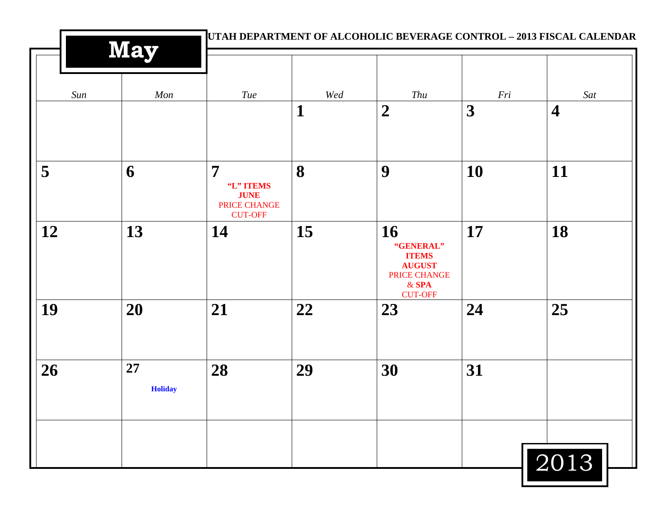|     | May                  |                                                                              |             | UTAH DEPARTMENT OF ALCOHOLIC BEVERAGE CONTROL - 2013 FISCAL CALENDAR                          |     |                         |
|-----|----------------------|------------------------------------------------------------------------------|-------------|-----------------------------------------------------------------------------------------------|-----|-------------------------|
| Sun | Mon                  | Tue                                                                          | Wed         | Thu                                                                                           | Fri | Sat                     |
|     |                      |                                                                              | $\mathbf 1$ | $\boldsymbol{2}$                                                                              | 3   | $\overline{\mathbf{4}}$ |
| 5   | 6                    | $\overline{7}$<br>"L" ITEMS<br><b>JUNE</b><br>PRICE CHANGE<br><b>CUT-OFF</b> | 8           | 9                                                                                             | 10  | 11                      |
| 12  | 13                   | 14                                                                           | 15          | 16<br>"GENERAL"<br><b>ITEMS</b><br><b>AUGUST</b><br>PRICE CHANGE<br>$&$ SPA<br><b>CUT-OFF</b> | 17  | 18                      |
| 19  | 20                   | 21                                                                           | 22          | 23                                                                                            | 24  | 25                      |
| 26  | 27<br><b>Holiday</b> | 28                                                                           | 29          | 30                                                                                            | 31  |                         |
|     |                      |                                                                              |             |                                                                                               |     | 2013                    |